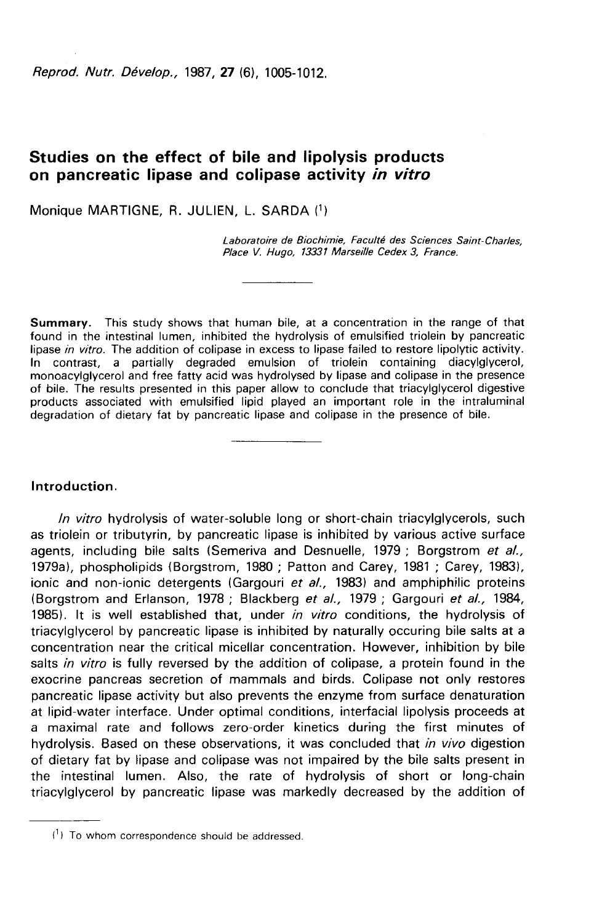Reprod. Nutr. Dévelop., 1987. 27 (6). 1005-1012.

# Studies on the effect of bile and lipolysis products<br>on pancreatic lipase and colipase activity in vitro

Monique MARTIGNE, R. JULIEN, L. SARDA (1)

Laboratoire de Biochimie, Faculté des Sciences Saint-Charles, Place V. Hugo, 13331 Marseille Cedex 3, France.

Summary. This study shows that human bile, at a concentration in the range of that found in the intestinal lumen, inhibited the hydrolysis of emulsified triolein by pancreatic lipase in vitro. The addition of colipase in excess to lipase failed to restore lipolytic activity. In contrast, a partially degraded emulsion of triolein containing diacylglycerol, monoacylglycerol and free fatty acid was hydrolysed by lipase and colipase in the presence of bile. The results presented in this paper allow to conclude that triacylglycerol digestive products associated with emulsified lipid played an important role in the intraluminal degradation of dietary fat by pancreatic lipase and colipase in the presence of bile.

### Introduction.

ln vitro hydrolysis of water-soluble long or short-chain triacylglycerols, such as triolein or tributyrin, by pancreatic lipase is inhibited by various active surface agents, including bile salts (Semeriva and Desnuelle, 1979; Borgstrom et al., 1979a), phospholipids (Borgstrom, 1980 ; Patton and Carey, 1981 ; Carey, 1983), ionic and non-ionic detergents (Gargouri et al., 1983) and amphiphilic proteins (Borgstrom and Erlanson, 1978 ; Blackberg et al., 1979 ; Gargouri et al., 1984, 1985). It is well established that, under in vitro conditions, the hydrolysis of triacylglycerol by pancreatic lipase is inhibited by naturally occuring bile salts at a concentration near the critical micellar concentration. However, inhibition by bile salts in vitro is fully reversed by the addition of colipase, a protein found in the exocrine pancreas secretion of mammals and birds. Colipase not only restores pancreatic lipase activity but also prevents the enzyme from surface denaturation at lipid-water interface. Under optimal conditions, interfacial lipolysis proceeds at a maximal rate and follows zero-order kinetics during the first minutes of hydrolysis. Based on these observations, it was concluded that in vivo digestion of dietary fat by lipase and colipase was not impaired by the bile salts present in the intestinal lumen. Also, the rate of hydrolysis of short or long-chain triacylglycerol by pancreatic lipase was markedly decreased by the addition of

 $(1)$  To whom correspondence should be addressed.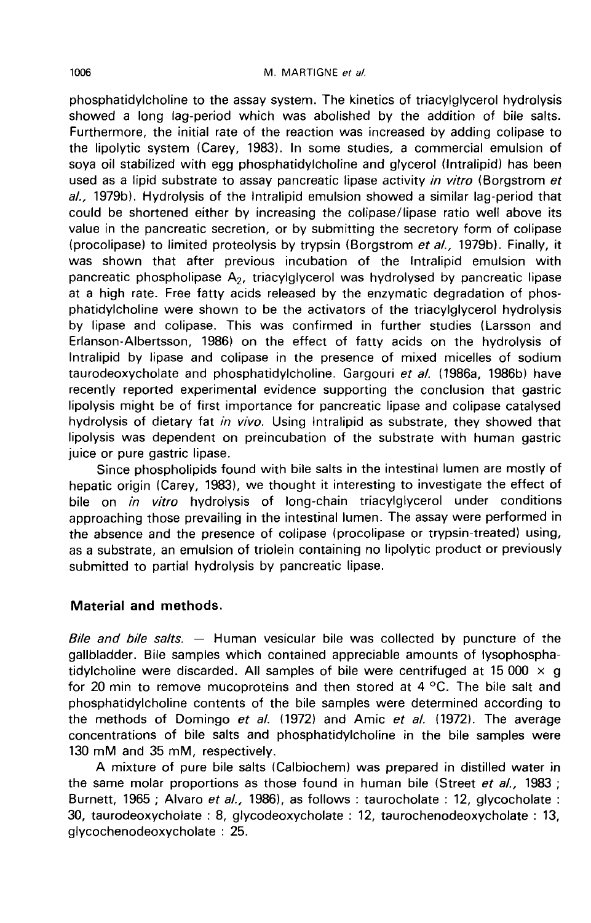phosphatidylcholine to the assay system. The kinetics of triacylglycerol hydrolysis showed a long lag-period which was abolished by the addition of bile salts. Furthermore, the initial rate of the reaction was increased by adding colipase to the lipolytic system (Carey, 1983). In some studies, a commercial emulsion of soya oil stabilized with egg phosphatidylcholine and glycerol (Intralipid) has been used as a lipid substrate to assay pancreatic lipase activity in vitro (Borgstrom et al., 1979b). Hydrolysis of the Intralipid emulsion showed a similar lag-period that could be shortened either by increasing the colipase/lipase ratio well above its value in the pancreatic secretion, or by submitting the secretory form of colipase (procolipase) to limited proteolysis by trypsin (Borgstrom et al., 1979b). Finally, it was shown that after previous incubation of the Intralipid emulsion with pancreatic phospholipase  $A_2$ , triacylglycerol was hydrolysed by pancreatic lipase<br>at a high rate. Free fatty acids released by the enzymatic degradation of phosphatidylcholine were shown to be the activators of the triacylglycerol hydrolysis by lipase and colipase. This was confirmed in further studies (Larsson and Erlanson-Albertsson, 1986) on the effect of fatty acids on the hydrolysis of Intralipid by lipase and colipase in the presence of mixed micelles of sodium taurodeoxycholate and phosphatidylcholine. Gargouri et al. (1986a, 1986b) have recently reported experimental evidence supporting the conclusion that gastric lipolysis might be of first importance for pancreatic lipase and colipase catalysed hydrolysis of dietary fat in vivo. Using Intralipid as substrate, they showed that lipolysis was dependent on preincubation of the substrate with human gastric juice or pure gastric lipase.

Since phospholipids found with bile salts in the intestinal lumen are mostly of hepatic origin (Carey, 1983), we thought it interesting to investigate the effect of bile on *in vitro* hydrolysis of long-chain triacylglycerol under conditions approaching those prevailing in the intestinal lumen. The assay were performed in the absence and the presence of colipase (procolipase or trypsin-treated) using, as a substrate, an emulsion of triolein containing no lipolytic product or previously submitted to partial hydrolysis by pancreatic lipase.

## Material and methods.

Bile and bile salts.  $-$  Human vesicular bile was collected by puncture of the gallbladder. Bile samples which contained appreciable amounts of lysophosphatidylcholine were discarded. All samples of bile were centrifuged at 15 000  $\times$  g for 20 min to remove mucoproteins and then stored at 4 °C. The bile salt and phosphatidylcholine contents of the bile samples were determined according to the methods of Domingo et a/. (1972) and Amic et al. (1972). The average concentrations of bile salts and phosphatidylcholine in the bile samples were 130 mM and 35 mM, respectively.

A mixture of pure bile salts (Calbiochem) was prepared in distilled water in the same molar proportions as those found in human bile (Street et al., 1983; Burnett, 1965 ; Alvaro et al., 1986), as follows : taurocholate : 12, glycocholate : 30, taurodeoxycholate : 8, glycodeoxycholate : 12, taurochenodeoxycholate : 13, glycochenodeoxycholate : 25.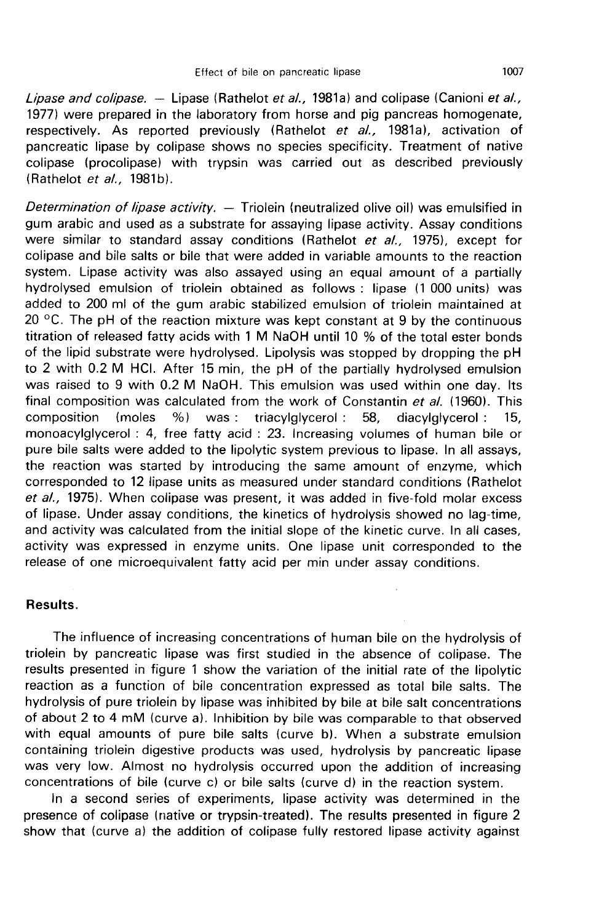Lipase and colipase. - Lipase (Rathelot et al., 1981a) and colipase (Canioni et al., 1977) were prepared in the laboratory from horse and pig pancreas homogenate, respectively. As reported previously (Rathelot et al., 1981a), activation of pancreatic lipase by colipase shows no species specificity. Treatment of native colipase (procolipase) with trypsin was carried out as described previously  $(Rathelot et al., 1981b).$ 

Determination of lipase activity. - Triolein (neutralized olive oil) was emulsified in gum arabic and used as a substrate for assaying lipase activity. Assay conditions were similar to standard assay conditions (Rathelot et al., 1975), except for colipase and bile salts or bile that were added in variable amounts to the reaction system. Lipase activity was also assayed using an equal amount of a partially hydrolysed emulsion of triolein obtained as follows : lipase (1 000 units) was added to 200 ml of the gum arabic stabilized emulsion of triolein maintained at 20  $\degree$ C. The pH of the reaction mixture was kept constant at 9 by the continuous titration of released fatty acids with 1 M NaOH until 10 % of the total ester bonds of the lipid substrate were hydrolysed. Lipolysis was stopped by dropping the pH to 2 with 0.2 M HCI. After 15 min, the pH of the partially hydrolysed emulsion was raised to 9 with 0.2 M NaOH. This emulsion was used within one day. Its final composition was calculated from the work of Constantin *et al.* (1960). This composition (moles  $\%$ ) was: triacylglycerol: 58. diacylglycerol: 15. composition (moles %) was : triacylglycerol : 58, diacylglycerol : 15, monoacylglycerol : 4, free fatty acid : 23. Increasing volumes of human bile or pure bile salts were added to the lipolytic system previous to lipase. In all assays, the reaction was started by introducing the same amount of enzyme, which corresponded to 12 lipase units as measured under standard conditions (Rathelot et al., 1975). When colipase was present, it was added in five-fold molar excess of lipase. Under assay conditions, the kinetics of hydrolysis showed no lag-time, and activity was calculated from the initial slope of the kinetic curve. In all cases, activity was expressed in enzyme units. One lipase unit corresponded to the release of one microequivalent fatty acid per min under assay conditions.

#### Results.

The influence of increasing concentrations of human bile on the hydrolysis of triolein by pancreatic lipase was first studied in the absence of colipase. The results presented in figure 1 show the variation of the initial rate of the lipolytic reaction as a function of bile concentration expressed as total bile salts. The hydrolysis of pure triolein by lipase was inhibited by bile at bile salt concentrations of about 2 to 4 mM (curve al. Inhibition by bile was comparable to that observed with equal amounts of pure bile salts (curve b). When a substrate emulsion containing triolein digestive products was used, hydrolysis by pancreatic lipase was very low. Almost no hydrolysis occurred upon the addition of increasing concentrations of bile (curve c) or bile salts (curve d) in the reaction system.

In a second series of experiments, lipase activity was determined in the presence of colipase (native or trypsin-treated). The results presented in figure 2 show that (curve a) the addition of colipase fully restored lipase activity against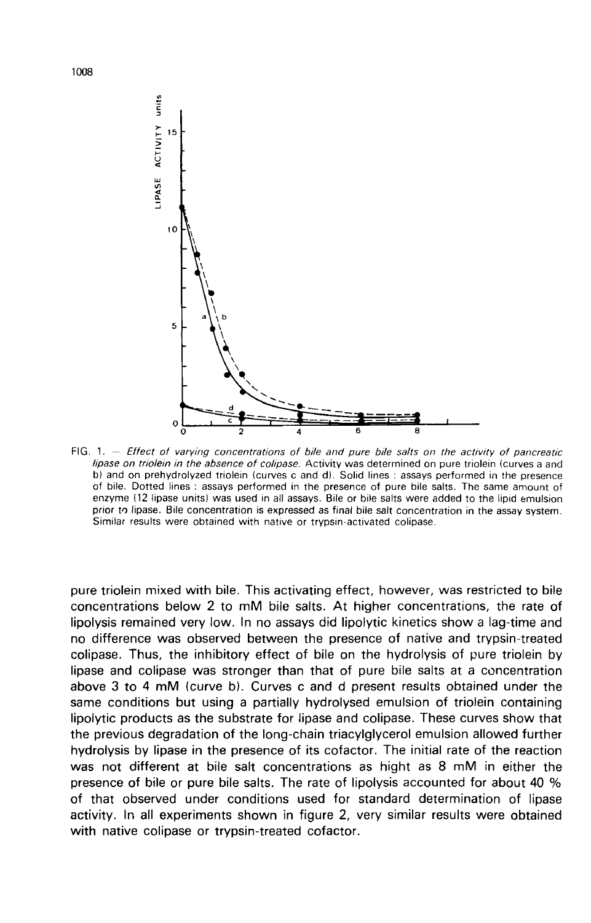

FIG. 1.  $-$  Effect of varying concentrations of bile and pure bile salts on the activity of pancreatic lipase on triolein in the absence of colipase. Activity was determined on pure triolein (curves a and b) and on prehydrolyzed triolein (curves c and d). Solid lines : assays performed in the presence of bile. Dotted lines : assays performed in the presence of pure bile salts. The same amount of enzyme (12 lipase units) was used in all assays. Bile or bile salts were added to the lipid emulsion prior to lipase. Bile concentration is expressed as final bile salt concentration in the assay system. Similar results were obtained with native or trypsin-activated colipase.

pure triolein mixed with bile. This activating effect, however, was restricted to bile concentrations below 2 to mM bile salts. At higher concentrations, the rate of lipolysis remained very low. In no assays did lipolytic kinetics show a lag-time and no difference was observed between the presence of native and trypsin-treated colipase. Thus, the inhibitory effect of bile on the hydrolysis of pure triolein by lipase and colipase was stronger than that of pure bile salts at a concentration above 3 to 4 mM (curve b). Curves c and d present results obtained under the same conditions but using a partially hydrolysed emulsion of triolein containing lipolytic products as the substrate for lipase and colipase. These curves show that the previous degradation of the long-chain triacylglycerol emulsion allowed further hydrolysis by lipase in the presence of its cofactor. The initial rate of the reaction was not different at bile salt concentrations as hight as 8 mM in either the presence of bile or pure bile salts. The rate of lipolysis accounted for about 40 % of that observed under conditions used for standard determination of lipase activity. In all experiments shown in figure 2, very similar results were obtained with native colipase or trypsin-treated cofactor.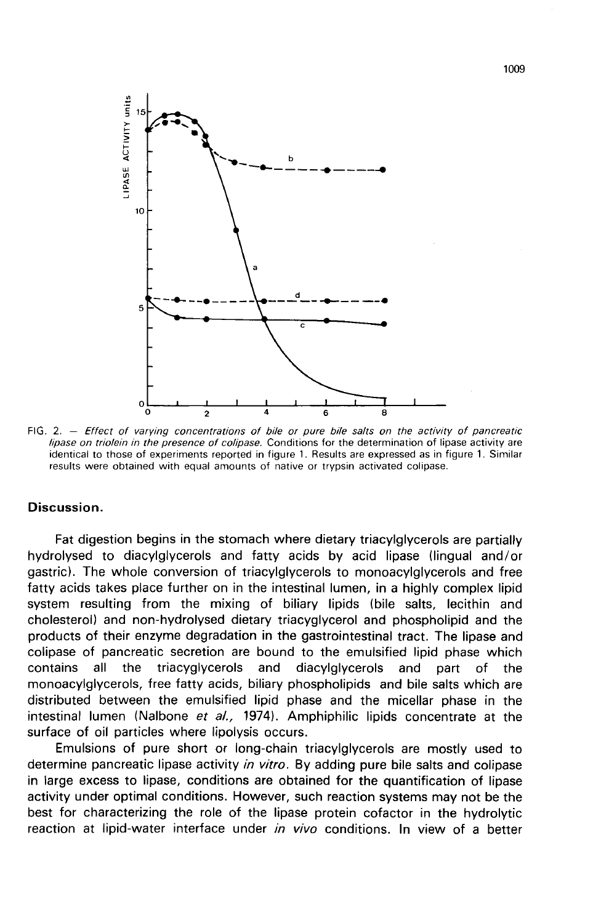

FIG. 2. - Effect of varying concentrations of bile or pure bile salts on the activity of pancreatic lipase on triolein in the presence of colipase. Conditions for the determination of lipase activity are identical to those of experiments reported in figure 1. Results are expressed as in figure 1. Similar results were obtained with equal amounts of native or trypsin activated colipase.

#### Discussion.

Fat digestion begins in the stomach where dietary triacylglycerols are partially hydrolysed to diacylglycerols and fatty acids by acid lipase (lingual and/or gastric). The whole conversion of triacylglycerols to monoacylglycerols and free fatty acids takes place further on in the intestinal lumen, in a highly complex lipid system resulting from the mixing of biliary lipids (bile salts, lecithin and cholesterol) and non-hydrolysed dietary triacyglycerol and phospholipid and the products of their enzyme degradation in the gastrointestinal tract. The lipase and colipase of pancreatic secretion are bound to the emulsified lipid phase which<br>contains all the triacyglycerols and diacylglycerols and part of the contains all the triacyglycerols and diacylglycerols and part of the monoacylglycerols, free fatty acids, biliary phospholipids and bile salts which are distributed between the emulsified lipid phase and the micellar phase in the intestinal lumen (Nalbone et  $al.$ , 1974). Amphiphilic lipids concentrate at the surface of oil particles where lipolysis occurs.

Emulsions of pure short or long-chain triacylglycerols are mostly used to determine pancreatic lipase activity in vitro. By adding pure bile salts and colipase in large excess to lipase, conditions are obtained for the quantification of lipase activity under optimal conditions. However, such reaction systems may not be the best for characterizing the role of the lipase protein cofactor in the hydrolytic reaction at lipid-water interface under in vivo conditions. In view of a better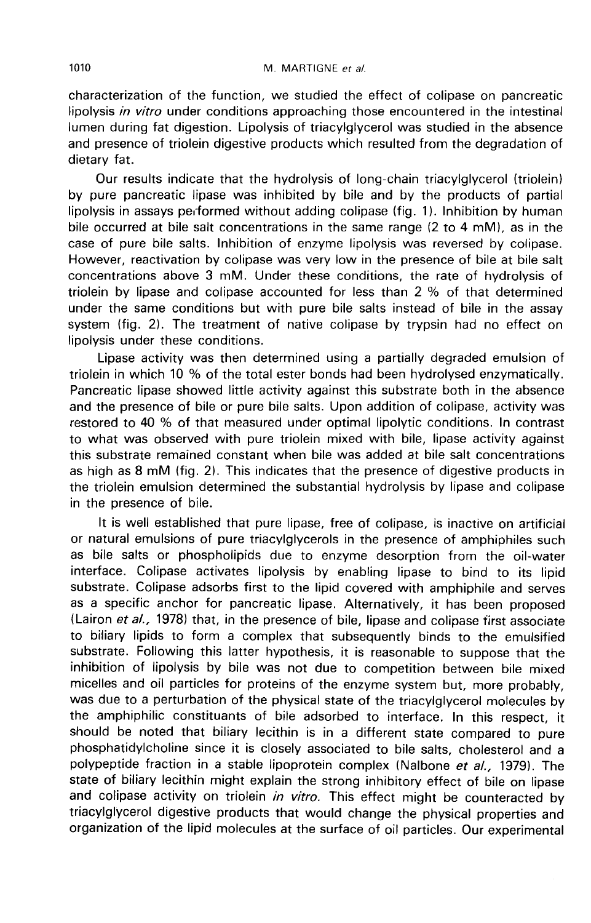characterization of the function, we studied the effect of colipase on pancreatic lipolysis in vitro under conditions approaching those encountered in the intestinal lumen during fat digestion. Lipolysis of triacylglycerol was studied in the absence and presence of triolein digestive products which resulted from the degradation of dietary fat.

Our results indicate that the hydrolysis of long-chain triacylglycerol (triolein) by pure pancreatic lipase was inhibited by bile and by the products of partial lipolysis in assays performed without adding colipase (fig. 11. Inhibition by human bile occurred at bile salt concentrations in the same range (2 to 4 mM), as in the case of pure bile salts. Inhibition of enzyme lipolysis was reversed by colipase. However, reactivation by colipase was very low in the presence of bile at bile salt concentrations above 3 mM. Under these conditions, the rate of hydrolysis of triolein by lipase and colipase accounted for less than 2 % of that determined under the same conditions but with pure bile salts instead of bile in the assay system (fig. 2). The treatment of native colipase by trypsin had no effect on lipolysis under these conditions.

Lipase activity was then determined using a partially degraded emulsion of triolein in which 10 % of the total ester bonds had been hydrolysed enzymatically. Pancreatic lipase showed little activity against this substrate both in the absence and the presence of bile or pure bile salts. Upon addition of colipase, activity was restored to 40 % of that measured under optimal lipolytic conditions. In contrast to what was observed with pure triolein mixed with bile, lipase activity against this substrate remained constant when bile was added at bile salt concentrations as high as 8 mM (fig. 2). This indicates that the presence of digestive products in the triolein emulsion determined the substantial hydrolysis by lipase and colipase in the presence of bile.

It is well established that pure lipase, free of colipase, is inactive on artificial or natural emulsions of pure triacylglycerols in the presence of amphiphiles such as bile salts or phospholipids due to enzyme desorption from the oil-water interface. Colipase activates lipolysis by enabling lipase to bind to its lipid substrate. Colipase adsorbs first to the lipid covered with amphiphile and serves as a specific anchor for pancreatic lipase. Alternatively, it has been proposed (Lairon et al., 1978) that, in the presence of bile, lipase and colipase first associate to biliary lipids to form a complex that subsequently binds to the emulsified substrate. Following this latter hypothesis, it is reasonable to suppose that the inhibition of lipolysis by bile was not due to competition between bile mixed<br>micelles and oil particles for proteins of the enzyme system but, more probably, was due to a perturbation of the physical state of the triacylglycerol molecules by the amphiphilic constituants of bile adsorbed to interface. In this respect, it should be noted that biliary lecithin is in a different state compared to pure phosphatidylcholine since it is closely associated to bile salts, cholesterol and a polypeptide fraction in a stable lipoprotein complex (Nalbone et al., 1979). The state of biliary lecithin might explain the strong inhibitory effect of bile on lipase and colipase activity on triolein in vitro. This effect might be counteracted by triacylglycerol digestive products that would change the physical properties and organization of the lipid molecules at the surface of oil particles. Our experimental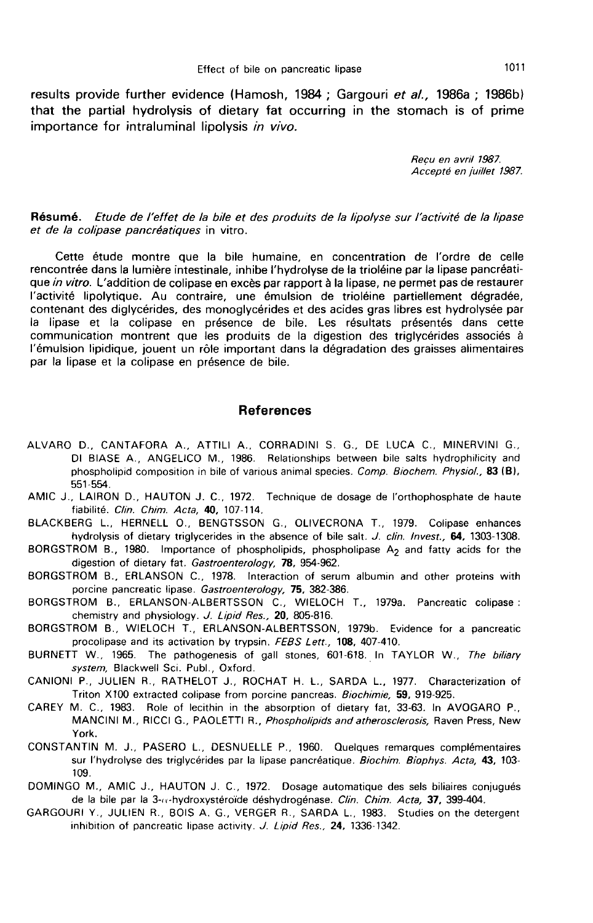results provide further evidence (Hamosh, 1984; Gargouri et al., 1986a; 1986b) that the partial hydrolysis of dietary fat occurring in the stomach is of prime importance for intraluminal lipolysis in vivo.

> Recu en avril 1987. Accepté en juillet 1987.

#### Résumé. Etude de l'effet de la bile et des produits de la lipolyse sur l'activité de la lipase et de la colipase pancréatiques in vitro.

Cette étude montre que la bile humaine, en concentration de l'ordre de celle rencontrée dans la lumière intestinale, inhibe l'hydrolyse de la trioléine par la lipase pancréatique in vitro. L'addition de colipase en excès par rapport à la lipase, ne permet pas de restaurer l'activité lipolytique. Au contraire, une émulsion de trioléine partiellement dégradée, contenant des diglycérides, des monoglycérides et des acides gras libres est hydrolysée par la lipase et la colipase en présence de bile. Les résultats présentés dans cette communication montrent que les produits de la digestion des triglycérides associés à l'émulsion lipidique, jouent un rôle important dans la dégradation des graisses alimentaires par la lipase et la colipase en présence de bile.

#### References

- ALVARO D., CANTAFORA A., ATTILI A., CORRADINI S. G., DE LUCA C., MINERVINI G., DI BIASE A., ANGELICO M., 1986. Relationships between bile salts hydrophilicity and phospholipid composition in bile of various animal species. Comp. Biochem. Physiol., 83 (B), 551-554.
- AMIC J., LAIRON D., HAUTON J. C., 1972. Technique de dosage de I'orthophosphate de haute fiabilité. Clin. Chim. Acta, 40, 107-114.
- BLACKBERG L., HERNELL 0., BENGTSSON G., OLIVECRONA T., 1979. Colipase enhances hydrolysis of dietary triglycerides in the absence of bile salt. J. clin. Invest., 64, 1303-1308.
- BORGSTROM B., 1980. Importance of phospholipids, phospholipase A<sub>2</sub> and fatty acids for the digestion of dietary fat. Gastroenterology, 78, 954-962.
- BORGSTROM B., ERLANSON C., 1978. Interaction of serum albumin and other proteins with porcine pancreatic lipase. Gastroenterology, 75, 382-386.
- BORGSTROM B., ERLANSON-ALBERTSSON C., WIELOCH T., 1979a. Pancreatic colipase : chemistry and physiology. J. Lipid Res., 20, 805-816.
- BORGSTROM B., WIELOCH T., ERLANSON-ALBERTSSON, 1979b. Evidence for a pancreatic procolipase and its activation by trypsin. FEBS Lett., 108, 407-410.
- BURNETT W., 1965. The pathogenesis of gall stones, 601-618. In TAYLOR W., The biliary system, Blackwell Sci. Publ., Oxford.
- CANIONI P., JULIEN R., RATHELOT J., ROCHAT H. L., SARDA L., 1977. Characterization of Triton X100 extracted colipase from porcine pancreas. Biochimie, 59, 919-925.
- CAREY M. C., 1983. Role of lecithin in the absorption of dietary fat, 33-63. In AVOGARO P., MANCINI M., RICCI G., PAOLETTI R., Phospholipids and atherosclerosis, Raven Press, New York.
- CONSTANTIN M. J., PASERO L., DESNUELLE P., 1960. Quelques remarques compi6mentaires sur l'hydrolyse des triglycérides par la lipase pancréatique. Biochim. Biophys. Acta, 43, 103-109.
- DOMINGO M., AMIC J., HAUTON J. C., 1972. Dosage automatique des sels biliaires conjuguds de la bile par la 3-n-hydroxystéroïde déshydrogénase. Clin. Chim. Acta, 37, 399-404.
- GARGOURI Y., JULIEN R., BOIS A. G., VERGER R., SARDA L., 1983. Studies on the detergent inhibition of pancreatic lipase activity. J. Lipid Res., 24, 1336-1342.